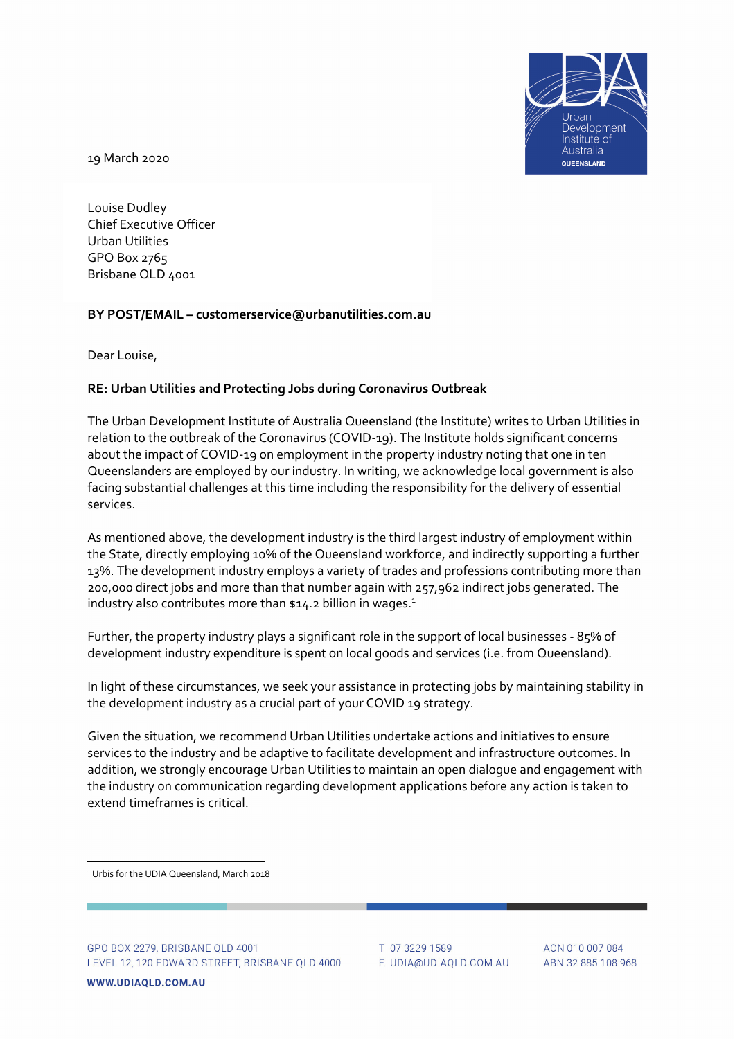

19 March 2020

Louise Dudley Chief Executive Officer Urban Utilities GPO Box 2765 Brisbane QLD 4001

## **BY POST/EMAIL – customerservice@urbanutilities.com.au**

Dear Louise,

## **RE: Urban Utilities and Protecting Jobs during Coronavirus Outbreak**

The Urban Development Institute of Australia Queensland (the Institute) writes to Urban Utilities in relation to the outbreak of the Coronavirus (COVID‐19). The Institute holds significant concerns about the impact of COVID‐19 on employment in the property industry noting that one in ten Queenslanders are employed by our industry. In writing, we acknowledge local government is also facing substantial challenges at this time including the responsibility for the delivery of essential services.

As mentioned above, the development industry is the third largest industry of employment within the State, directly employing 10% of the Queensland workforce, and indirectly supporting a further 13%. The development industry employs a variety of trades and professions contributing more than 200,000 direct jobs and more than that number again with 257,962 indirect jobs generated. The industry also contributes more than  $$14.2$  billion in wages.<sup>1</sup>

Further, the property industry plays a significant role in the support of local businesses ‐ 85% of development industry expenditure is spent on local goods and services (i.e. from Queensland).

In light of these circumstances, we seek your assistance in protecting jobs by maintaining stability in the development industry as a crucial part of your COVID 19 strategy.

Given the situation, we recommend Urban Utilities undertake actions and initiatives to ensure services to the industry and be adaptive to facilitate development and infrastructure outcomes. In addition, we strongly encourage Urban Utilities to maintain an open dialogue and engagement with the industry on communication regarding development applications before any action is taken to extend timeframes is critical.

<sup>1</sup> Urbis for the UDIA Queensland, March 2018